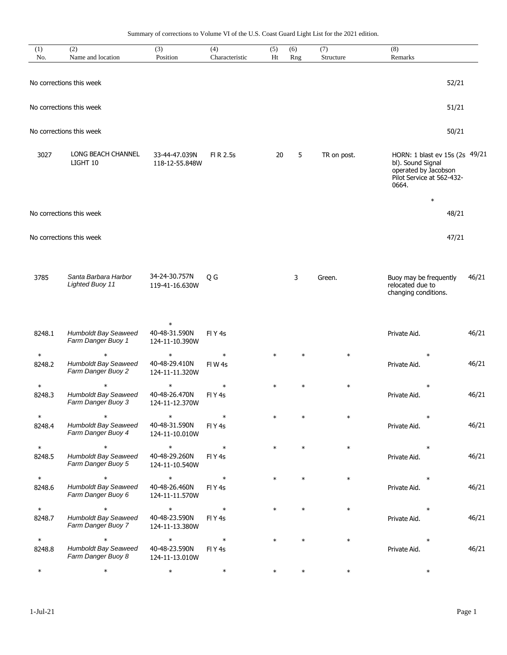Summary of corrections to Volume VI of the U.S. Coast Guard Light List for the 2021 edition.

| (1)<br>No. | (2)<br>Name and location                          | (3)<br>Position                           | (4)<br>Characteristic | (5)<br>Ht | (6)<br>Rng | (7)<br>Structure | (8)<br>Remarks                                                                                                              |       |
|------------|---------------------------------------------------|-------------------------------------------|-----------------------|-----------|------------|------------------|-----------------------------------------------------------------------------------------------------------------------------|-------|
|            | No corrections this week                          |                                           |                       |           |            |                  | 52/21                                                                                                                       |       |
|            | No corrections this week                          |                                           |                       |           |            |                  | 51/21                                                                                                                       |       |
|            |                                                   |                                           |                       |           |            |                  |                                                                                                                             |       |
|            | No corrections this week                          |                                           |                       |           |            |                  | 50/21                                                                                                                       |       |
| 3027       | <b>LONG BEACH CHANNEL</b><br>LIGHT 10             | 33-44-47.039N<br>118-12-55.848W           | FI R 2.5s             | 20        | 5          | TR on post.      | HORN: 1 blast ev 15s (2s 49/21<br>bl). Sound Signal<br>operated by Jacobson<br>Pilot Service at 562-432-<br>0664.<br>$\ast$ |       |
|            | No corrections this week                          |                                           |                       |           |            |                  | 48/21                                                                                                                       |       |
|            | No corrections this week                          |                                           |                       |           |            |                  | 47/21                                                                                                                       |       |
| 3785       | Santa Barbara Harbor<br><b>Lighted Buoy 11</b>    | 34-24-30.757N<br>119-41-16.630W           | Q G                   |           | 3          | Green.           | Buoy may be frequently<br>relocated due to<br>changing conditions.                                                          | 46/21 |
| 8248.1     | Humboldt Bay Seaweed<br>Farm Danger Buoy 1        | $\ast$<br>40-48-31.590N<br>124-11-10.390W | FIY <sub>4s</sub>     |           |            |                  | Private Aid.                                                                                                                | 46/21 |
| $\ast$     | $\ast$                                            | $\ast$                                    | $\ast$                | $\ast$    | $\ast$     | $\ast$           | $\ast$                                                                                                                      |       |
| 8248.2     | Humboldt Bay Seaweed<br>Farm Danger Buoy 2        | 40-48-29.410N<br>124-11-11.320W           | FIW <sub>4s</sub>     |           |            |                  | Private Aid.                                                                                                                | 46/21 |
| $\ast$     | $\ast$                                            | $\ast$                                    | $\ast$                | $\ast$    | $\ast$     | $\ast$           | $\ast$                                                                                                                      |       |
| 8248.3     | Humboldt Bay Seaweed<br>Farm Danger Buoy 3        | 40-48-26.470N<br>124-11-12.370W           | FIY <sub>4s</sub>     |           |            |                  | Private Aid.                                                                                                                | 46/21 |
| $\ast$     | $\ast$                                            | $\ast$                                    | $\ast$                |           | $\star$    | $\ast$           | $\ast$                                                                                                                      |       |
| 8248.4     | Humboldt Bay Seaweed<br>Farm Danger Buoy 4        | 40-48-31.590N<br>124-11-10.010W           | FIY <sub>4s</sub>     |           |            |                  | Private Aid.                                                                                                                | 46/21 |
| $\ast$     | $\ast$                                            | $\ast$                                    | $\ast$                | $\ast$    |            | $\ast$           | $\ast$                                                                                                                      |       |
| 8248.5     | <b>Humboldt Bay Seaweed</b><br>Farm Danger Buoy 5 | 40-48-29.260N<br>124-11-10.540W           | FIY <sub>4s</sub>     |           |            |                  | Private Aid.                                                                                                                | 46/21 |
| $\ast$     | $\ast$                                            | $\ast$                                    | $\ast$                | $\ast$    | $\ast$     | $\ast$           | $\ast$                                                                                                                      |       |
| 8248.6     | <b>Humboldt Bay Seaweed</b><br>Farm Danger Buoy 6 | 40-48-26.460N<br>124-11-11.570W           | FIY <sub>4s</sub>     |           |            |                  | Private Aid.                                                                                                                | 46/21 |
| $\ast$     | $\ast$                                            | $\ast$                                    | $\ast$                | $\ast$    |            | $\ast$           | $\ast$                                                                                                                      |       |
| 8248.7     | <b>Humboldt Bay Seaweed</b><br>Farm Danger Buoy 7 | 40-48-23.590N<br>124-11-13.380W           | FIY <sub>4s</sub>     |           |            |                  | Private Aid.                                                                                                                | 46/21 |
| $\ast$     | $\ast$                                            | $\ast$                                    | $\ast$                | $\ast$    |            | $\ast$           | $\ast$                                                                                                                      |       |
| 8248.8     | Humboldt Bay Seaweed<br>Farm Danger Buoy 8        | 40-48-23.590N<br>124-11-13.010W           | FIY <sub>4s</sub>     |           |            |                  | Private Aid.                                                                                                                | 46/21 |
| $\ast$     | $\ast$                                            | $\ast$                                    | $\ast$                | $\ast$    | $\ast$     | $\ast$           | $\ast$                                                                                                                      |       |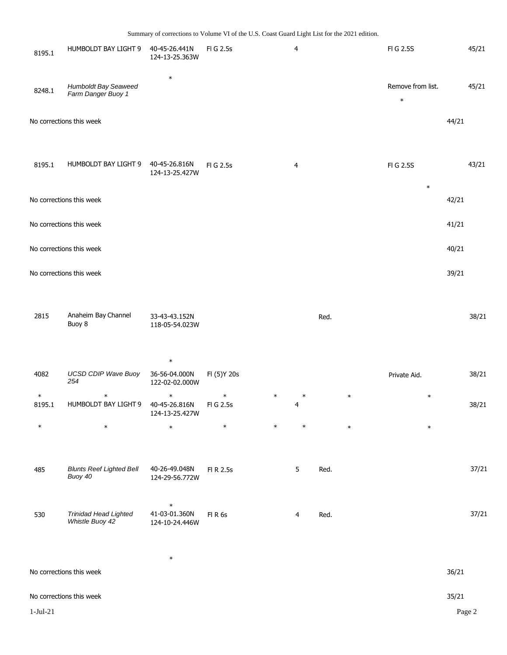| 8195.1 | HUMBOLDT BAY LIGHT 9                       | 40-45-26.441N<br>124-13-25.363W | FIG 2.5s  | $\overline{4}$ | FIG 2.5S                    |       | 45/21 |
|--------|--------------------------------------------|---------------------------------|-----------|----------------|-----------------------------|-------|-------|
| 8248.1 | Humboldt Bay Seaweed<br>Farm Danger Buoy 1 | $\ast$                          |           |                | Remove from list.<br>$\ast$ |       | 45/21 |
|        | No corrections this week                   |                                 |           |                |                             | 44/21 |       |
| 8195.1 | HUMBOLDT BAY LIGHT 9                       | 40-45-26.816N<br>124-13-25.427W | FI G 2.5s | 4              | FI G 2.5S<br>$\ast$         |       | 43/21 |
|        | No corrections this week                   |                                 |           |                |                             | 42/21 |       |
|        | No corrections this week                   |                                 |           |                |                             | 41/21 |       |
|        | No corrections this week                   |                                 |           |                |                             | 40/21 |       |
|        | No corrections this week                   |                                 |           |                |                             | 39/21 |       |
|        |                                            |                                 |           |                |                             |       |       |

| 2815 | Anaheim Bay Channel<br>Buoy 8 | 33-43-43.152N<br>118-05-54.023W | Rea. | 38/21 |
|------|-------------------------------|---------------------------------|------|-------|
|      |                               |                                 |      |       |

|                  |                                   | $\ast$                                    |                    |        |        |        |              |       |
|------------------|-----------------------------------|-------------------------------------------|--------------------|--------|--------|--------|--------------|-------|
| 4082             | <b>UCSD CDIP Wave Buoy</b><br>254 | 36-56-04.000N<br>122-02-02.000W           | FI (5) Y 20s       |        |        |        | Private Aid. | 38/21 |
| $\ast$<br>8195.1 | $\ast$<br>HUMBOLDT BAY LIGHT 9    | $\ast$<br>40-45-26.816N<br>124-13-25.427W | $\ast$<br>FIG 2.5s | $\ast$ | $\ast$ | $\ast$ | $\ast$       | 38/21 |
| $\ast$           | $\ast$                            | $\ast$                                    | $\ast$             | $\ast$ | $\ast$ | $\ast$ | $\ast$       |       |

| 485 | <b>Blunts Reef Lighted Bell</b><br>Buoy 40      | 40-26-49.048N<br>124-29-56.772W           | FLR 2.5s  | Red. | 37/21 |
|-----|-------------------------------------------------|-------------------------------------------|-----------|------|-------|
| 530 | <b>Trinidad Head Lighted</b><br>Whistle Buoy 42 | $\ast$<br>41-03-01.360N<br>124-10-24.446W | $FI$ R 6s | Red. | 37/21 |

| $\ast$<br>No corrections this week | 36/21  |
|------------------------------------|--------|
| No corrections this week           | 35/21  |
| $1-Jul-21$                         | Page 2 |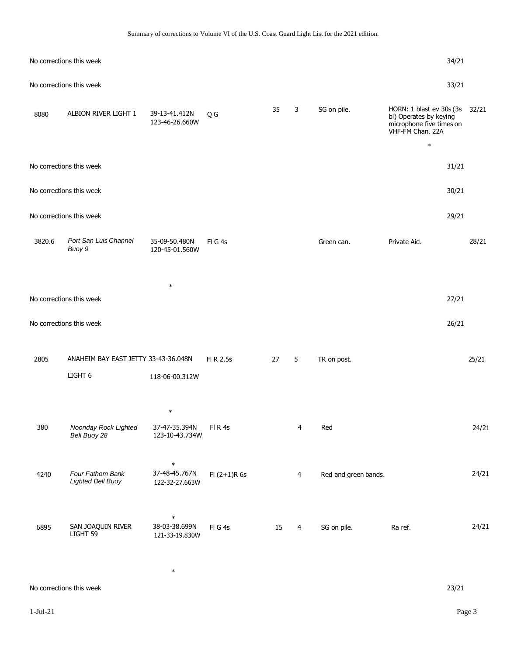|  | Summary of corrections to Volume VI of the U.S. Coast Guard Light List for the 2021 edition. |  |  |  |  |  |  |
|--|----------------------------------------------------------------------------------------------|--|--|--|--|--|--|
|  |                                                                                              |  |  |  |  |  |  |

|        | No corrections this week                     |                                           |                |    |                |                      |                                                                                                                    | 34/21 |       |
|--------|----------------------------------------------|-------------------------------------------|----------------|----|----------------|----------------------|--------------------------------------------------------------------------------------------------------------------|-------|-------|
|        | No corrections this week                     |                                           |                |    |                |                      |                                                                                                                    | 33/21 |       |
| 8080   | ALBION RIVER LIGHT 1                         | 39-13-41.412N<br>123-46-26.660W           | Q G            | 35 | 3              | SG on pile.          | HORN: 1 blast ev 30s (3s 32/21<br>bl) Operates by keying<br>microphone five times on<br>VHF-FM Chan. 22A<br>$\ast$ |       |       |
|        | No corrections this week                     |                                           |                |    |                |                      |                                                                                                                    | 31/21 |       |
|        | No corrections this week                     |                                           |                |    |                |                      |                                                                                                                    | 30/21 |       |
|        | No corrections this week                     |                                           |                |    |                |                      |                                                                                                                    | 29/21 |       |
| 3820.6 | Port San Luis Channel<br>Buoy 9              | 35-09-50.480N<br>120-45-01.560W           | FIG4s          |    |                | Green can.           | Private Aid.                                                                                                       |       | 28/21 |
|        |                                              | $\ast$                                    |                |    |                |                      |                                                                                                                    |       |       |
|        | No corrections this week                     |                                           |                |    |                |                      |                                                                                                                    | 27/21 |       |
|        | No corrections this week                     |                                           |                |    |                |                      |                                                                                                                    | 26/21 |       |
| 2805   | ANAHEIM BAY EAST JETTY 33-43-36.048N         |                                           | FI R 2.5s      | 27 | 5              | TR on post.          |                                                                                                                    |       | 25/21 |
|        | LIGHT <sub>6</sub>                           | 118-06-00.312W                            |                |    |                |                      |                                                                                                                    |       |       |
|        |                                              | $\ast$                                    |                |    |                |                      |                                                                                                                    |       |       |
| 380    | Noonday Rock Lighted<br>Bell Buoy 28         | 37-47-35.394N<br>123-10-43.734W           | FIR4s          |    | 4              | Red                  |                                                                                                                    |       | 24/21 |
| 4240   | Four Fathom Bank<br><b>Lighted Bell Buoy</b> | $\ast$<br>37-48-45.767N<br>122-32-27.663W | $FI (2+1)R 6s$ |    | $\overline{4}$ | Red and green bands. |                                                                                                                    |       | 24/21 |
| 6895   | SAN JOAQUIN RIVER<br>LIGHT 59                | $\ast$<br>38-03-38.699N<br>121-33-19.830W | FIG4s          | 15 | $\overline{4}$ | SG on pile.          | Ra ref.                                                                                                            |       | 24/21 |

\*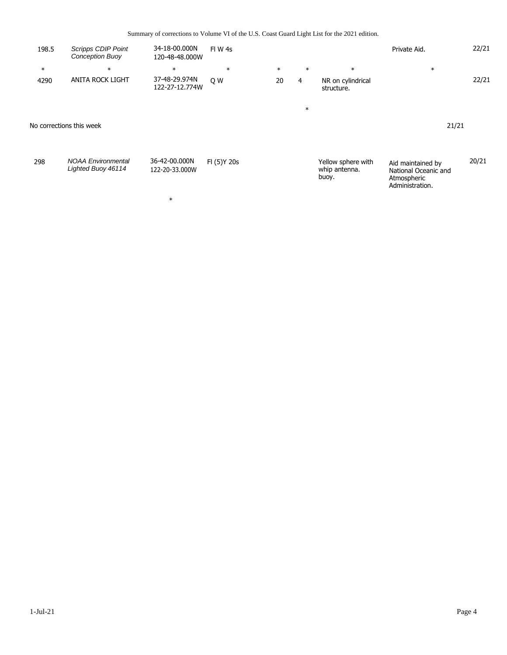Summary of corrections to Volume VI of the U.S. Coast Guard Light List for the 2021 edition.

| 198.5  | <b>Scripps CDIP Point</b><br><b>Conception Buoy</b> | 34-18-00.000N<br>120-48-48.000W | FIW 4s       |        |        |                                              | Private Aid.                                                                | 22/21 |
|--------|-----------------------------------------------------|---------------------------------|--------------|--------|--------|----------------------------------------------|-----------------------------------------------------------------------------|-------|
| $\ast$ | $\ast$                                              | $\ast$                          | $\ast$       | $\ast$ | $\ast$ | $\ast$                                       | $\ast$                                                                      |       |
| 4290   | <b>ANITA ROCK LIGHT</b>                             | 37-48-29.974N<br>122-27-12.774W | Q W          | 20     | 4      | NR on cylindrical<br>structure.              |                                                                             | 22/21 |
|        |                                                     |                                 |              |        | $\ast$ |                                              |                                                                             |       |
|        | No corrections this week                            |                                 |              |        |        |                                              | 21/21                                                                       |       |
| 298    | <b>NOAA Environmental</b><br>Lighted Buoy 46114     | 36-42-00.000N<br>122-20-33.000W | FI (5) Y 20s |        |        | Yellow sphere with<br>whip antenna.<br>buoy. | Aid maintained by<br>National Oceanic and<br>Atmospheric<br>Administration. | 20/21 |

\*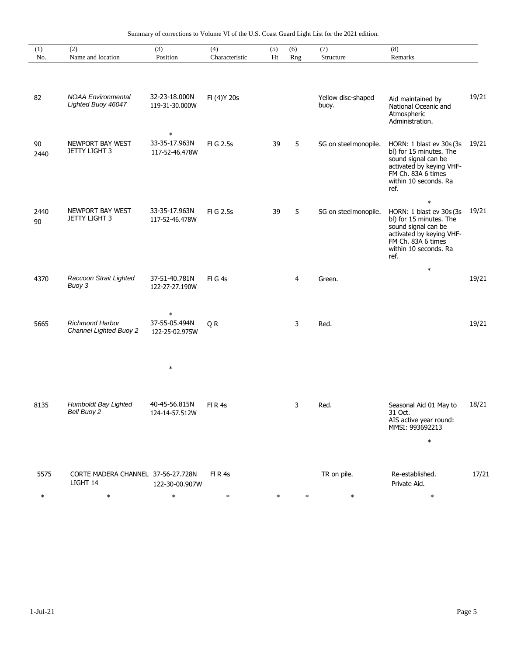|  | Summary of corrections to Volume VI of the U.S. Coast Guard Light List for the 2021 edition. |  |  |  |  |  |  |
|--|----------------------------------------------------------------------------------------------|--|--|--|--|--|--|
|  |                                                                                              |  |  |  |  |  |  |

| (1)<br>No. | (2)<br>Name and location                                | (3)<br>Position                           | (4)<br>Characteristic | (5)<br>Ht | (6)    | $\overline{(7)}$<br>Structure | (8)<br>Remarks                                                                                                                                                          |       |
|------------|---------------------------------------------------------|-------------------------------------------|-----------------------|-----------|--------|-------------------------------|-------------------------------------------------------------------------------------------------------------------------------------------------------------------------|-------|
|            |                                                         |                                           |                       |           | Rng    |                               |                                                                                                                                                                         |       |
| 82         | <b>NOAA Environmental</b><br>Lighted Buoy 46047         | 32-23-18.000N<br>119-31-30.000W           | FI (4) Y 20s          |           |        | Yellow disc-shaped<br>buoy.   | Aid maintained by<br>National Oceanic and<br>Atmospheric<br>Administration.                                                                                             | 19/21 |
| 90<br>2440 | NEWPORT BAY WEST<br><b>JETTY LIGHT 3</b>                | $\ast$<br>33-35-17.963N<br>117-52-46.478W | FI G 2.5s             | 39        | 5      | SG on steelmonopile.          | HORN: 1 blast ev 30s (3s)<br>bl) for 15 minutes. The<br>sound signal can be<br>activated by keying VHF-<br>FM Ch. 83A 6 times<br>within 10 seconds. Ra<br>ref.          | 19/21 |
| 2440<br>90 | <b>NEWPORT BAY WEST</b><br><b>JETTY LIGHT 3</b>         | 33-35-17.963N<br>117-52-46.478W           | FI G 2.5s             | 39        | 5      | SG on steelmonopile.          | $\ast$<br>HORN: 1 blast ev 30s (3s<br>bl) for 15 minutes. The<br>sound signal can be<br>activated by keying VHF-<br>FM Ch. 83A 6 times<br>within 10 seconds. Ra<br>ref. | 19/21 |
| 4370       | Raccoon Strait Lighted<br>Buoy 3                        | 37-51-40.781N<br>122-27-27.190W           | FIG4s                 |           | 4      | Green.                        | $\ast$                                                                                                                                                                  | 19/21 |
| 5665       | <b>Richmond Harbor</b><br><b>Channel Lighted Buoy 2</b> | $\ast$<br>37-55-05.494N<br>122-25-02.975W | QR                    |           | 3      | Red.                          |                                                                                                                                                                         | 19/21 |
|            |                                                         | $\ast$                                    |                       |           |        |                               |                                                                                                                                                                         |       |
| 8135       | Humboldt Bay Lighted<br>Bell Buoy 2                     | 40-45-56.815N<br>124-14-57.512W           | FIR4s                 |           | 3      | Red.                          | Seasonal Aid 01 May to<br>31 Oct.<br>AIS active year round:<br>MMSI: 993692213<br>$\ast$                                                                                | 18/21 |
| 5575       | CORTE MADERA CHANNEL 37-56-27.728N<br>LIGHT 14          | 122-30-00.907W                            | FIR4s                 |           |        | TR on pile.                   | Re-established.<br>Private Aid.                                                                                                                                         | 17/21 |
| $\ast$     | $\ast$                                                  | $\ast$                                    | $\ast$                | $\ast$    | $\ast$ | $\ast$                        | $\ast$                                                                                                                                                                  |       |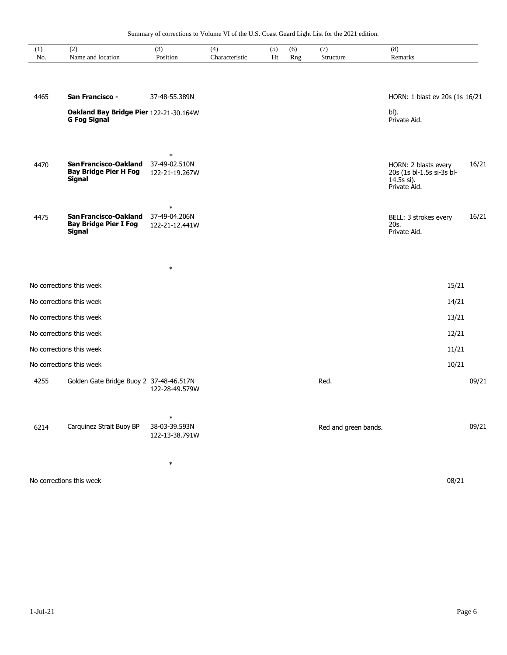| (1)<br>No. | (2)<br>Name and location                                               | $\overline{(3)}$<br>Position              | (4)<br>Characteristic | (5)<br>Ht | (6)<br>Rng | (7)<br>Structure     | (8)<br>Remarks                                                                  |       |
|------------|------------------------------------------------------------------------|-------------------------------------------|-----------------------|-----------|------------|----------------------|---------------------------------------------------------------------------------|-------|
|            |                                                                        |                                           |                       |           |            |                      |                                                                                 |       |
| 4465       | San Francisco -                                                        | 37-48-55.389N                             |                       |           |            |                      | HORN: 1 blast ev 20s (1s 16/21                                                  |       |
|            | Oakland Bay Bridge Pier 122-21-30.164W<br><b>G Fog Signal</b>          |                                           |                       |           |            |                      | bl).<br>Private Aid.                                                            |       |
| 4470       | San Francisco-Oakland<br><b>Bay Bridge Pier H Fog</b><br><b>Signal</b> | $\ast$<br>37-49-02.510N<br>122-21-19.267W |                       |           |            |                      | HORN: 2 blasts every<br>20s (1s bl-1.5s si-3s bl-<br>14.5s si).<br>Private Aid. | 16/21 |
| 4475       | San Francisco-Oakland<br><b>Bay Bridge Pier I Fog</b><br>Signal        | $\ast$<br>37-49-04.206N<br>122-21-12.441W |                       |           |            |                      | BELL: 3 strokes every<br>20s.<br>Private Aid.                                   | 16/21 |
|            |                                                                        | $\ast$                                    |                       |           |            |                      |                                                                                 |       |
|            | No corrections this week                                               |                                           |                       |           |            |                      | 15/21                                                                           |       |
|            | No corrections this week                                               |                                           |                       |           |            |                      | 14/21                                                                           |       |
|            | No corrections this week                                               |                                           |                       |           |            |                      | 13/21                                                                           |       |
|            | No corrections this week                                               |                                           |                       |           |            |                      | 12/21                                                                           |       |
|            | No corrections this week                                               |                                           |                       |           |            |                      | 11/21                                                                           |       |
|            | No corrections this week                                               |                                           |                       |           |            |                      | 10/21                                                                           |       |
| 4255       | Golden Gate Bridge Buoy 2 37-48-46.517N                                | 122-28-49.579W                            |                       |           |            | Red.                 |                                                                                 | 09/21 |
| 6214       | Carquinez Strait Buoy BP                                               | $\ast$<br>38-03-39.593N<br>122-13-38.791W |                       |           |            | Red and green bands. |                                                                                 | 09/21 |
|            | No corrections this week                                               | $\ast$                                    |                       |           |            |                      | 08/21                                                                           |       |